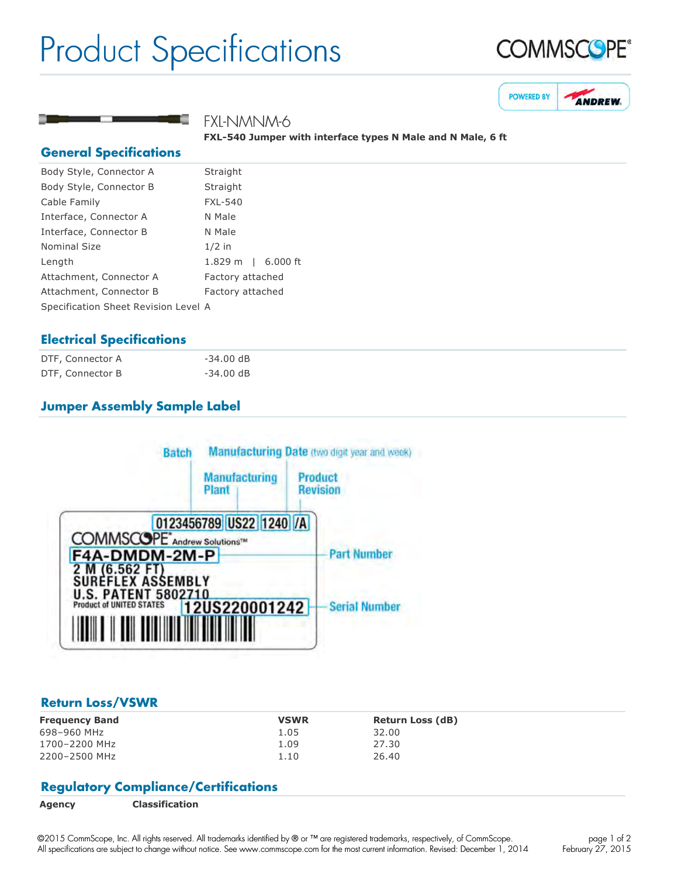## Product Specifications





FXL-NMNM-6

FXL-540 Jumper with interface types N Male and N Male, 6 ft

#### **General Specifications**

| Body Style, Connector A              | Straight                     |  |
|--------------------------------------|------------------------------|--|
| Body Style, Connector B              | Straight                     |  |
| Cable Family                         | <b>FXL-540</b>               |  |
| Interface, Connector A               | N Male                       |  |
| Interface, Connector B               | N Male                       |  |
| Nominal Size                         | $1/2$ in                     |  |
| Length                               | $1.829 \text{ m}$   6.000 ft |  |
| Attachment, Connector A              | Factory attached             |  |
| Attachment, Connector B              | Factory attached             |  |
| Specification Sheet Revision Level A |                              |  |
|                                      |                              |  |

### **Electrical Specifications**

| DTF, Connector A | $-34.00$ dB |
|------------------|-------------|
| DTF, Connector B | $-34.00$ dB |

### **Jumper Assembly Sample Label**



#### **Return Loss/VSWR**

| <b>Frequency Band</b> | <b>VSWR</b> | <b>Return Loss (dB)</b> |
|-----------------------|-------------|-------------------------|
| 698-960 MHz           | 1.05        | 32.00                   |
| 1700-2200 MHz         | 1.09        | 27.30                   |
| 2200-2500 MHz         | 1.10        | 26.40                   |

#### **Regulatory Compliance/Certifications**

©2015 CommScope, Inc. All rights reserved. All trademarks identified by ® or ™ are registered trademarks, respectively, of CommScope. All specifications are subject to change without notice. See www.commscope.com for the most current information. Revised: December 1, 2014